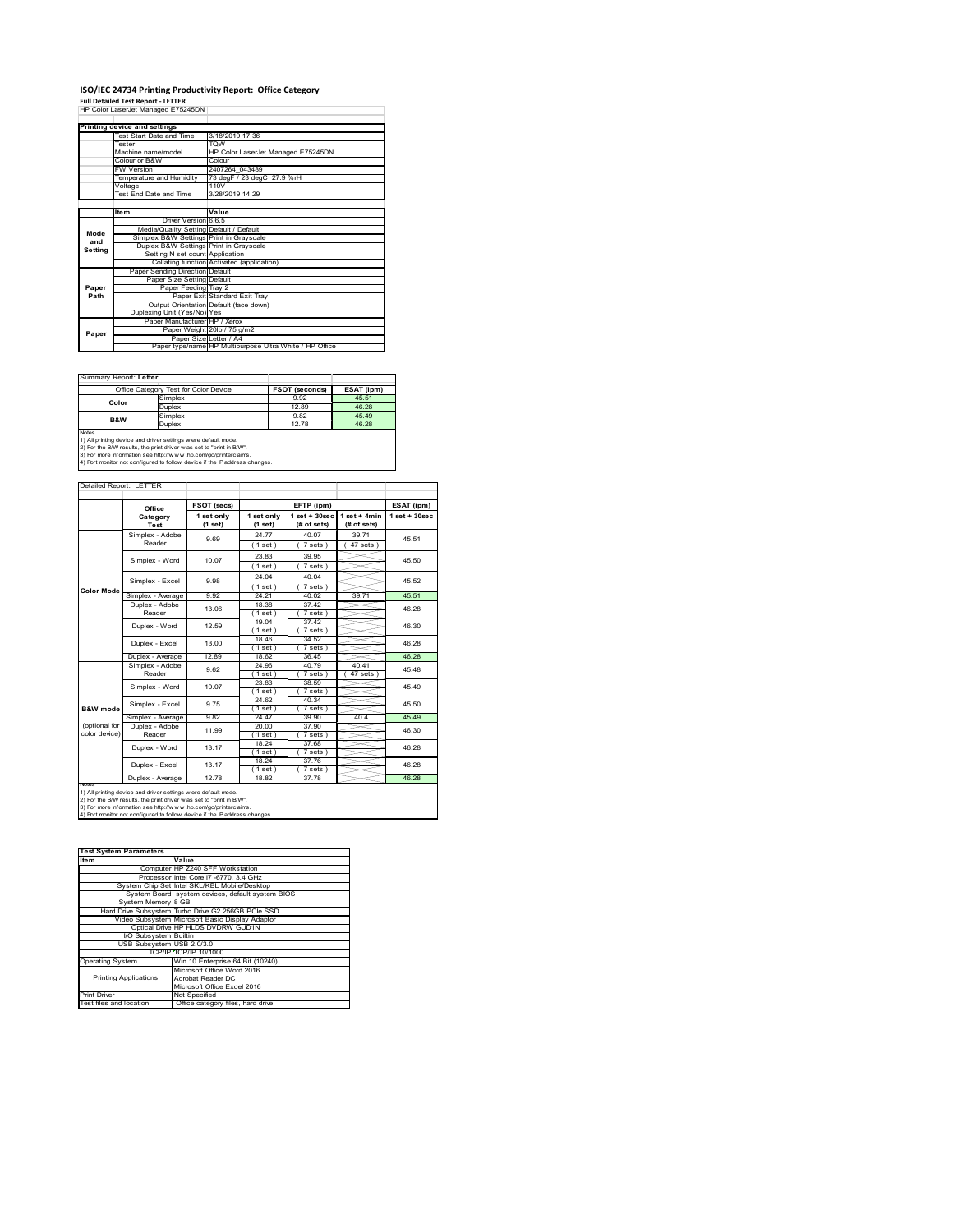## **ISO/IEC 24734 Printing Productivity Report: Office Category<br>Full Detailed Test Report - LETTER<br>HP Color LaserJet Managed E75245DN |**

|         | Printing device and settings            |                                                         |
|---------|-----------------------------------------|---------------------------------------------------------|
|         | Test Start Date and Time                | 3/18/2019 17:36                                         |
|         | <b>Tester</b>                           | <b>TOW</b>                                              |
|         | Machine name/model                      | HP Color LaserJet Managed E75245DN                      |
|         | Colour or B&W                           | Colour                                                  |
|         | <b>FW Version</b>                       | 2407264 043489                                          |
|         | Temperature and Humidity                | 73 degF / 23 degC 27.9 %rH                              |
|         | Voltage                                 | 110V                                                    |
|         | Test End Date and Time                  | 3/28/2019 14:29                                         |
|         |                                         |                                                         |
|         | <b>Item</b>                             | Value                                                   |
|         | Driver Version 6.6.5                    |                                                         |
| Mode    | Media/Quality Setting Default / Default |                                                         |
| and     | Simplex B&W Settings Print in Grayscale |                                                         |
| Setting | Duplex B&W Settings Print in Grayscale  |                                                         |
|         | Setting N set count Application         |                                                         |
|         |                                         | Collating function Activated (application)              |
|         | Paper Sending Direction Default         |                                                         |
|         | Paper Size Setting Default              |                                                         |
| Paper   | Paper Feeding Tray 2                    |                                                         |
| Path    |                                         | Paper Exit Standard Exit Tray                           |
|         |                                         | Output Orientation Default (face down)                  |
|         | Duplexing Unit (Yes/No) Yes             |                                                         |
|         | Paper Manufacturer HP / Xerox           |                                                         |
| Paper   |                                         | Paper Weight 20lb / 75 g/m2                             |
|         |                                         | Paper Size Letter / A4                                  |
|         |                                         | Paper type/name HP Multipurpose Ultra White / HP Office |

Summary Report: **Letter**

| Office Category Test for Color Device                         |         | <b>FSOT (seconds)</b> | ESAT (ipm) |  |  |
|---------------------------------------------------------------|---------|-----------------------|------------|--|--|
| Color                                                         | Simplex | 9.92                  | 45.51      |  |  |
|                                                               | Duplex  | 12.89                 | 46.28      |  |  |
| B&W                                                           | Simplex | 9.82                  | 45 49      |  |  |
|                                                               | Duplex  | 12 78                 | 46.28      |  |  |
| <b>Notes</b>                                                  |         |                       |            |  |  |
| 1) All printing device and driver settings were default mode. |         |                       |            |  |  |

 $\overline{\phantom{a}}$ 

1) All printing device and driver settings were default mode.<br>2) For the B/W results, the print driver was set to "print in B/W".<br>3) For more information see http://www.hp.com/go/printerclaims.<br>4) Port monitor not configur

| Detailed Report: LETTER |                   |                       |                       |                                   |                                |                    |
|-------------------------|-------------------|-----------------------|-----------------------|-----------------------------------|--------------------------------|--------------------|
|                         | Office            | <b>FSOT (secs)</b>    |                       | EFTP (ipm)                        |                                | ESAT (ipm)         |
|                         | Category<br>Test  | 1 set only<br>(1 set) | 1 set only<br>(1 set) | $1$ set + $30$ sec<br>(# of sets) | $1$ set + 4min<br>$#$ of sets) | $1$ set + $30$ sec |
|                         | Simplex - Adobe   | 9.69                  | 24 77                 | 40.07                             | 39 71                          | 45.51              |
|                         | Reader            |                       | (1 set)               | 7 sets)                           | $47$ sets $)$                  |                    |
|                         | Simplex - Word    | 10.07                 | 23.83                 | 39 95                             |                                | 45.50              |
|                         |                   |                       | (1 set)               | 7 sets)                           |                                |                    |
|                         |                   |                       | 24 04                 | 40.04                             |                                |                    |
|                         | Simplex - Excel   | 9.98                  | (1 set)               | $7 sets$ )                        |                                | 45.52              |
| <b>Color Mode</b>       | Simplex - Average | 9.92                  | 24.21                 | 40.02                             | 39.71                          | 45.51              |
|                         | Duplex - Adobe    | 13.06                 | 18.38                 | 37.42                             |                                | 46.28<br>46.30     |
|                         | Reader            |                       | (1 set)               | $7 sets$ )                        |                                |                    |
|                         | Duplex - Word     | 12.59                 | 19.04                 | 37 42                             |                                |                    |
|                         |                   |                       | (1 set )              | 7 sets)                           |                                |                    |
|                         | Duplex - Excel    | 13.00                 | 18.46                 | 34.52                             |                                | 46.28              |
|                         |                   |                       | $1$ set               | 7 sets                            |                                |                    |
|                         | Duplex - Average  | 12.89                 | 18.62                 | 36 45                             |                                | 46.28              |
|                         | Simplex - Adobe   | 9.62                  | 24.96                 | 40.79                             | 40.41                          | 45.48<br>45 49     |
|                         | Reader            |                       | $1$ set $1$           | 7 sets)                           | 47 sets )                      |                    |
|                         | Simplex - Word    | 10.07                 | 23.83                 | 38.59                             |                                |                    |
|                         |                   |                       | (1 set )<br>24.62     | 7 sets)<br>40.34                  |                                |                    |
| <b>B&amp;W</b> mode     | Simplex - Excel   | 975                   | (1 set)               | 7 sets 1                          |                                | 45.50              |
|                         | Simplex - Average | 9.82                  | 24.47                 | 39.90                             | 40.4                           | 45.49              |
| (optional for           | Duplex - Adobe    |                       | 20.00                 | 37.90                             |                                |                    |
| color device)           | Reader            | 11 99                 | (1 set )              | 7 sets)                           |                                | 46.30              |
|                         |                   |                       | 18.24                 | 37.68                             |                                |                    |
|                         | Duplex - Word     | 13.17                 | (1 set)               | $7 sets$ )                        |                                | 46.28              |
|                         |                   |                       | 18.24                 | 37.76                             |                                |                    |
|                         | Duplex - Excel    | 13.17                 | 1 set                 | $7 sets$ )                        |                                | 46.28              |
|                         | Duplex - Average  | 12.78                 | 18.82                 | 37.78                             |                                | 46.28              |

**Item Value** Computer HP Z240 SFF Workstation Processor Intel Core i7 -6770, 3.4 GHz System Chip Set Intel SKL/KBL Mobile/Desktop System Board system devices, default system BIOS  $\frac{3}{3}$  GB G2 256GB PCIe SSI Video Subsystem Microsoft Basic Display Adaptor Optical Drive HP HLDS DVDRW GUD1N I/O Subsystem Builtin USB Subsystem USB 2.0/3.0 TCP/IP TCP/IP 10/1000 operation with the Cone<br>in 10 Enterprise 64 Bit (102 Printing Applications Microsoft Office Word 2016 Acrobat Reader DC Microsoft Office Excel 2016 Print Driver Not Specified<br>Test files and location Office catego **Test System Parameters**

vot opeemed<br>Office category files, hard driv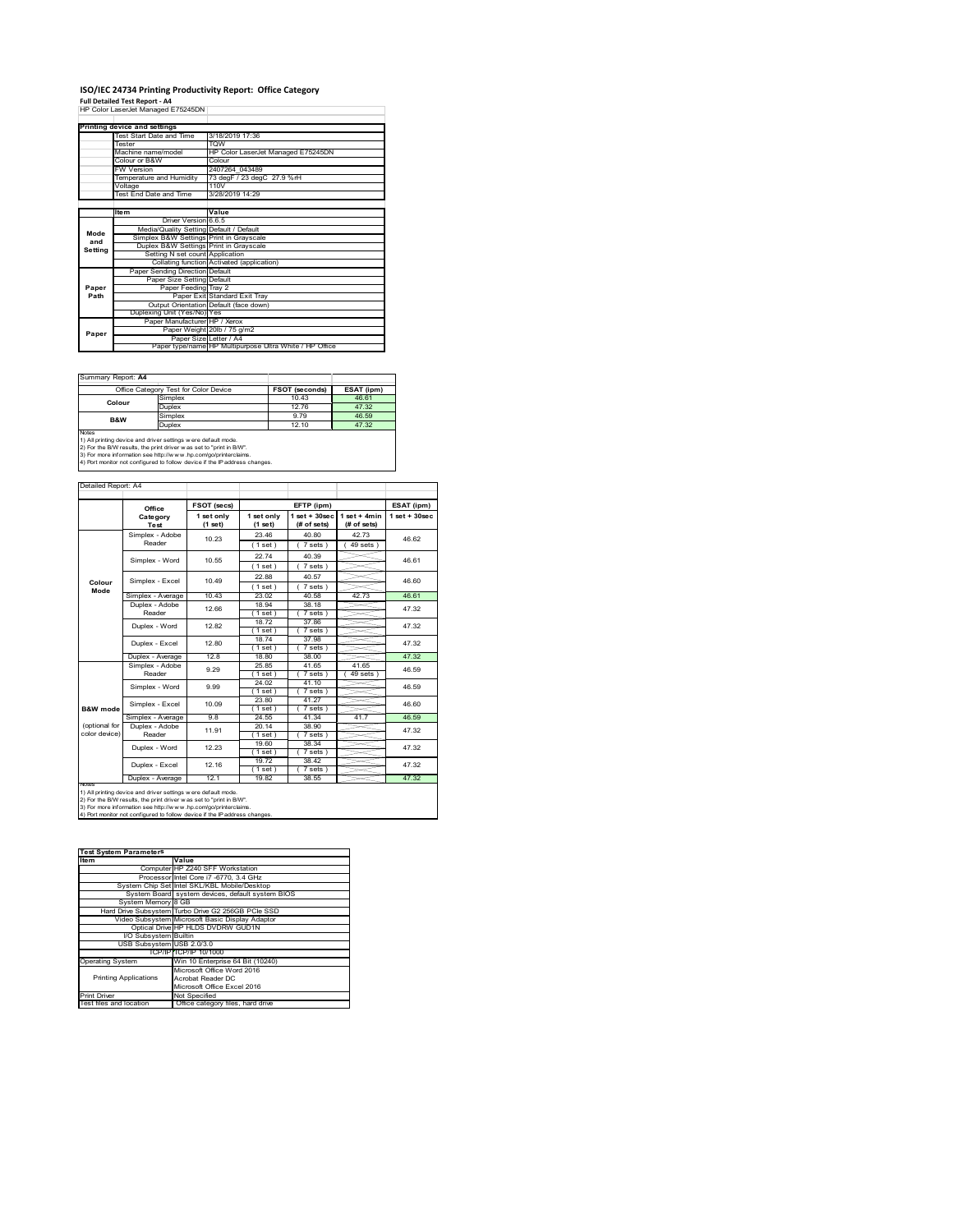# **ISO/IEC 24734 Printing Productivity Report: Office Category<br>Full Detailed Test Report - A4<br>HP Color LaserJet Managed E75245DN |**

|         | Printing device and settings            |                                                         |  |  |
|---------|-----------------------------------------|---------------------------------------------------------|--|--|
|         | Test Start Date and Time                | 3/18/2019 17:36                                         |  |  |
|         | <b>Tester</b>                           | <b>TOW</b>                                              |  |  |
|         | Machine name/model                      | HP Color LaserJet Managed E75245DN                      |  |  |
|         | Colour or B&W                           | Colour                                                  |  |  |
|         | <b>FW Version</b>                       | 2407264 043489                                          |  |  |
|         | Temperature and Humidity                | 73 degF / 23 degC 27.9 %rH                              |  |  |
|         | Voltage                                 | 110V                                                    |  |  |
|         | Test End Date and Time                  | 3/28/2019 14:29                                         |  |  |
|         |                                         |                                                         |  |  |
|         | <b>Item</b>                             | Value                                                   |  |  |
|         | Driver Version 6.6.5                    |                                                         |  |  |
| Mode    | Media/Quality Setting Default / Default |                                                         |  |  |
| and     | Simplex B&W Settings Print in Grayscale |                                                         |  |  |
| Settina | Duplex B&W Settings Print in Grayscale  |                                                         |  |  |
|         | Setting N set count Application         |                                                         |  |  |
|         |                                         | Collating function Activated (application)              |  |  |
|         | Paper Sending Direction Default         |                                                         |  |  |
|         | Paper Size Setting Default              |                                                         |  |  |
| Paper   | Paper Feeding Tray 2                    |                                                         |  |  |
| Path    |                                         | Paper Exit Standard Exit Tray                           |  |  |
|         |                                         | Output Orientation Default (face down)                  |  |  |
|         | Duplexing Unit (Yes/No) Yes             |                                                         |  |  |
|         | Paper Manufacturer HP / Xerox           |                                                         |  |  |
| Paper   |                                         | Paper Weight 20lb / 75 g/m2                             |  |  |
|         | Paper Size Letter / A4                  |                                                         |  |  |
|         |                                         | Paper type/name HP Multipurpose Ultra White / HP Office |  |  |

Summary Report: **A4**

|              | Office Category Test for Color Device                         | <b>FSOT (seconds)</b> | ESAT (ipm) |  |  |
|--------------|---------------------------------------------------------------|-----------------------|------------|--|--|
| Colour       | Simplex                                                       | 10.43                 | 46.61      |  |  |
|              | Duplex                                                        | 12.76                 | 47.32      |  |  |
| B&W          | Simplex                                                       | 9 7 9                 | 46.59      |  |  |
|              | Duplex                                                        | 12.10                 | 47.32      |  |  |
| <b>Notes</b> |                                                               |                       |            |  |  |
|              | 1) All printing device and driver settings were default mode. |                       |            |  |  |

1) All printing device and driver settings were default mode.<br>2) For the B/W results, the print driver was set to "print in B/W".<br>3) For more information see http://www.hp.com/go/printerclaims.<br>4) Port monitor not configur

| Detailed Report: A4 |  |
|---------------------|--|
|                     |  |

|               | Office                    | FSOT (secs) |                  | EFTP (ipm)          |                | ESAT (ipm)        |
|---------------|---------------------------|-------------|------------------|---------------------|----------------|-------------------|
|               | Category                  | 1 set only  | 1 set only       | $1$ set + 30sec     | $1$ set + 4min | $1$ set $+30$ sec |
|               | Test                      | (1 set)     | $(1$ set)        | (# of sets)         | (# of sets)    |                   |
|               | Simplex - Adobe           | 10.23       | 23 46            | 40.80               | 4273           | 46.62             |
|               | Reader                    |             | (1 set)          | $7 sets$ )          | $49$ sets $)$  |                   |
|               | Simplex - Word            | 10.55       | 2274             | 40.39               |                | 46.61             |
|               |                           |             | (1 set)          | 7 sets)             |                |                   |
| Colour        | Simplex - Excel           | 1049        | 22.88            | 40.57               |                | 46.60             |
| Mode          |                           |             | (1 set)          | 7 sets)             |                |                   |
|               | Simplex - Average         | 10.43       | 23.02            | 40.58               | 42.73          | 46.61             |
|               | Duplex - Adobe            | 12.66       | 18.94            | 38.18               |                | 47.32             |
|               | Reader                    |             | (1 set)          | 7 sets)             |                |                   |
|               | Duplex - Word             | 1282        | 18.72            | 37.86               |                | 47.32             |
|               |                           |             | (1 set)          | 7 sets)             |                |                   |
|               | Duplex - Excel            | 12.80       | 18.74            | 37 98               |                | 47.32             |
|               | Duplex - Average          | 12.8        | (1 set)<br>18.80 | $7 sets$ )<br>38.00 |                | 47.32             |
|               |                           |             | 25.85            | 41 65               | 4165           |                   |
|               | Simplex - Adobe<br>Reader | 9.29        | (1 set)          | 7 sets 1            | 49 sets        | 46.59             |
|               | Simplex - Word            | 9.99        | 24.02            | 41.10               |                | 46.59             |
|               |                           |             | (1 set)          | $7 sets$ )          |                |                   |
|               |                           |             | 23.80            | 41 27               |                |                   |
| B&W mode      | Simplex - Excel           | 10.09       | $1$ set $)$      | 7 sets)             |                | 46.60             |
|               | Simplex - Average         | 9.8         | 24.55            | 41.34               | 41.7           | 46.59             |
| (optional for | Duplex - Adobe            | 11 91       | 20 14            | 38.90               |                | 47.32             |
| color device) | Reader                    |             | (1 set)          | $7 sets$ )          |                |                   |
|               | Duplex - Word             | 12 23       | 19.60            | 38 34               |                | 47.32             |
|               |                           |             | (1 set)          | 7 sets)             |                |                   |
|               | Duplex - Excel            | 12 16       | 19.72            | 38.42               |                | 47.32             |
|               |                           |             | (1 set )         | 7 sets)             |                |                   |
| NOTAS         | Duplex - Average          | 121         | 1982             | 38.55               |                | 4732              |

┑

2) For the B/W results, the print driver w as set to "print in B/W".<br>3) For more information see http://w w v.hp.com/go/printerclaims.<br>4) Port monitor not configured to follow device if the IP address changes.

| <b>Test System Parameters</b><br>Item | Value                                              |
|---------------------------------------|----------------------------------------------------|
|                                       | Computer HP Z240 SFF Workstation                   |
|                                       |                                                    |
|                                       | Processor Intel Core i7 -6770, 3.4 GHz             |
|                                       | System Chip Set Intel SKL/KBL Mobile/Desktop       |
|                                       | System Board system devices, default system BIOS   |
| System Memory 8 GB                    |                                                    |
|                                       | Hard Drive Subsystem Turbo Drive G2 256GB PCle SSD |
|                                       | Video Subsystem Microsoft Basic Display Adaptor    |
|                                       | Optical Drive HP HLDS DVDRW GUD1N                  |
| I/O Subsystem Builtin                 |                                                    |
| USB Subsystem USB 2.0/3.0             |                                                    |
|                                       | TCP/IP/TCP/IP 10/1000                              |
| <b>Operating System</b>               | Win 10 Enterprise 64 Bit (10240)                   |
|                                       | Microsoft Office Word 2016                         |
| <b>Printing Applications</b>          | Acrobat Reader DC                                  |
|                                       | Microsoft Office Excel 2016                        |
| <b>Print Driver</b>                   | Not Specified                                      |
| Test files and location               | Office category files, hard drive                  |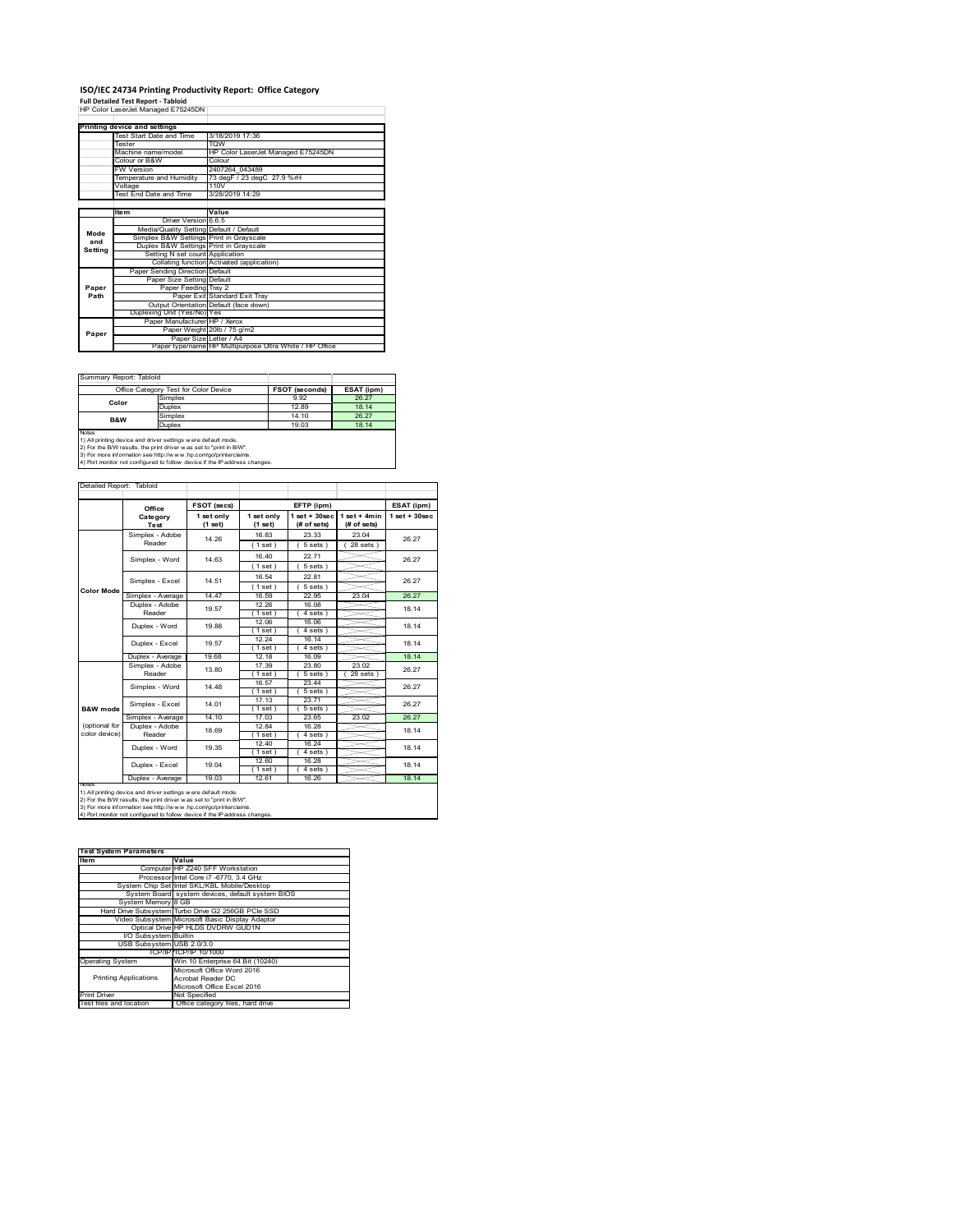## **ISO/IEC 24734 Printing Productivity Report: Office Category<br>Full Detailed Test Report - Tabloid<br>HP Color LaserJet Managed E75245DN |**

|         | Printing device and settings            |                                                         |
|---------|-----------------------------------------|---------------------------------------------------------|
|         | Test Start Date and Time                | 3/18/2019 17:36                                         |
|         | Tester                                  | <b>TOW</b>                                              |
|         | Machine name/model                      | HP Color LaserJet Managed E75245DN                      |
|         | Colour or B&W                           | Colour                                                  |
|         | <b>FW Version</b>                       | 2407264 043489                                          |
|         | Temperature and Humidity                | 73 degF / 23 degC 27.9 %rH                              |
|         | Voltage                                 | 110V                                                    |
|         | <b>Test End Date and Time</b>           | 3/28/2019 14:29                                         |
|         |                                         |                                                         |
|         | Item                                    | Value                                                   |
|         | Driver Version 6.6.5                    |                                                         |
| Mode    | Media/Quality Setting Default / Default |                                                         |
| and     | Simplex B&W Settings Print in Grayscale |                                                         |
| Setting | Duplex B&W Settings Print in Grayscale  |                                                         |
|         | Setting N set count Application         |                                                         |
|         |                                         | Collating function Activated (application)              |
|         | Paper Sending Direction Default         |                                                         |
|         | Paper Size Setting Default              |                                                         |
| Paper   | Paper Feeding Tray 2                    |                                                         |
| Path    |                                         | Paper Exit Standard Exit Tray                           |
|         |                                         | Output Orientation Default (face down)                  |
|         | Duplexing Unit (Yes/No) Yes             |                                                         |
|         | Paper Manufacturer HP / Xerox           |                                                         |
| Paper   |                                         | Paper Weight 20lb / 75 g/m2                             |
|         | Paper Size Letter / A4                  |                                                         |
|         |                                         | Paper type/name HP Multipurpose Ultra White / HP Office |

Summary Report: Tabloid

|                | Office Category Test for Color Device                         | <b>FSOT (seconds)</b> | ESAT (ipm) |  |  |
|----------------|---------------------------------------------------------------|-----------------------|------------|--|--|
| Color          | Simplex                                                       | 9.92                  | 26.27      |  |  |
|                | Duplex                                                        | 1289                  | 18 14      |  |  |
| <b>B&amp;W</b> | Simplex                                                       | 14 10                 | 26.27      |  |  |
|                | Duplex                                                        | 19.03                 | 18 14      |  |  |
| <b>Notes</b>   |                                                               |                       |            |  |  |
|                | 1) All printing device and driver settings were default mode. |                       |            |  |  |

1) All printing device and driver settings were default mode.<br>2) For the B/W results, the print driver was set to "print in B/W".<br>3) For more information see http://www.hp.com/go/printerclaims.<br>4) Port monitor not configur

Detailed Report: Tabloid

|                   | Office                                      | FSOT (secs)<br>EFTP (ipm) |                       |                                   | ESAT (ipm)                    |                 |
|-------------------|---------------------------------------------|---------------------------|-----------------------|-----------------------------------|-------------------------------|-----------------|
|                   | Category<br>Test                            | 1 set only<br>(1 set)     | 1 set only<br>(1 set) | $1$ set + $30$ sec<br>(# of sets) | $1$ set + 4min<br>(# of sets) | $1$ set + 30sec |
|                   | Simplex - Adobe                             | 14 26                     | 16.83                 | 23.33                             | 23.04                         | 26.27           |
|                   | Reader                                      |                           | (1 set)               | $5 sets$ )                        | $28$ sets $)$                 |                 |
|                   | Simplex - Word                              | 14 63                     | 16.40                 | 22.71                             |                               | 26.27           |
|                   |                                             |                           | (1 set)               | $5 sets$ )                        |                               |                 |
|                   | Simplex - Excel                             | 14.51                     | 16.54                 | 22.81                             |                               | 26.27           |
| <b>Color Mode</b> |                                             |                           | (1 set)               | $5 sets$ )                        |                               |                 |
|                   | Simplex - Average                           | 14.47                     | 16.59                 | 22.95                             | 23.04                         | 26.27           |
|                   | Duplex - Adobe                              | 19.57                     | 12.26                 | 16.08                             |                               | 18 14           |
|                   | Reader                                      |                           | $1$ set)              | 4 sets)                           |                               |                 |
|                   | Duplex - Word                               | 19.88                     | 12.06                 | 16.06                             |                               | 18.14           |
|                   |                                             |                           | (1 set)               | 4 sets)                           |                               |                 |
|                   | Duplex - Excel                              | 19.57                     | 12.24                 | 16 14                             |                               | 18.14           |
|                   |                                             |                           | (1 set)               | $4 sets$ )                        |                               |                 |
|                   | Duplex - Average                            | 19.68                     | 12.18                 | 16.09                             |                               | 18 14           |
|                   | Simplex - Adobe<br>Reader<br>Simplex - Word | 13.80                     | 17.39                 | 23.80                             | 23.02                         | 26.27<br>26.27  |
|                   |                                             |                           | $1$ set)              | 5 sets 1                          | 28 sets                       |                 |
|                   |                                             | 14 48                     | 16.57                 | 23.44                             |                               |                 |
|                   |                                             |                           | $1$ set $)$           | $5 sets$ )                        |                               |                 |
|                   | Simplex - Excel                             | 14 01                     | 17.13                 | 23.71                             |                               | 26.27           |
| B&W mode          |                                             |                           | (1 set)               | $5 sets$ )                        |                               |                 |
|                   | Simplex - Average                           | 14.10                     | 17.03                 | 23.65                             | 23.02                         | 26.27           |
| (optional for     | Duplex - Adobe                              | 18.69                     | 1284                  | 16.28                             |                               | 18.14           |
| color device)     | Reader                                      |                           | (1 set)               | 4 sets)                           |                               |                 |
|                   | Duplex - Word                               | 19.35                     | 1240                  | 16 24                             |                               | 18.14           |
|                   |                                             |                           | (1 set)               | 4 sets)                           |                               |                 |
|                   | Duplex - Excel                              | 19.04                     | 12.60                 | 16 28                             |                               | 18.14           |
|                   |                                             |                           | (1 set)               | 4 sets)                           |                               |                 |
|                   | Duplex - Average                            | 19 03                     | 12.61                 | 16.26                             |                               | 18 14           |

٦

2) For the B/W results, the print driver w as set to "print in B/W".<br>3) For more information see http://w w v.hp.com/go/printerclaims.<br>4) Port monitor not configured to follow device if the IP address changes.

| <b>Test System Parameters</b> |                                                    |  |  |
|-------------------------------|----------------------------------------------------|--|--|
| Item                          | Value                                              |  |  |
|                               | Computer HP Z240 SFF Workstation                   |  |  |
|                               | Processor Intel Core i7 -6770, 3.4 GHz             |  |  |
|                               | System Chip Set Intel SKL/KBL Mobile/Desktop       |  |  |
|                               | System Board system devices, default system BIOS   |  |  |
| System Memory 8 GB            |                                                    |  |  |
|                               | Hard Drive Subsystem Turbo Drive G2 256GB PCle SSD |  |  |
|                               | Video Subsystem Microsoft Basic Display Adaptor    |  |  |
|                               | Optical Drive HP HLDS DVDRW GUD1N                  |  |  |
| I/O Subsystem Builtin         |                                                    |  |  |
| USB Subsystem USB 2.0/3.0     |                                                    |  |  |
|                               | TCP/IPITCP/IP 10/1000                              |  |  |
| <b>Operating System</b>       | Win 10 Enterprise 64 Bit (10240)                   |  |  |
|                               | Microsoft Office Word 2016                         |  |  |
| <b>Printing Applications</b>  | Acrobat Reader DC                                  |  |  |
|                               | Microsoft Office Excel 2016                        |  |  |
| <b>Print Driver</b>           | Not Specified                                      |  |  |
| Test files and location       | Office category files, hard drive                  |  |  |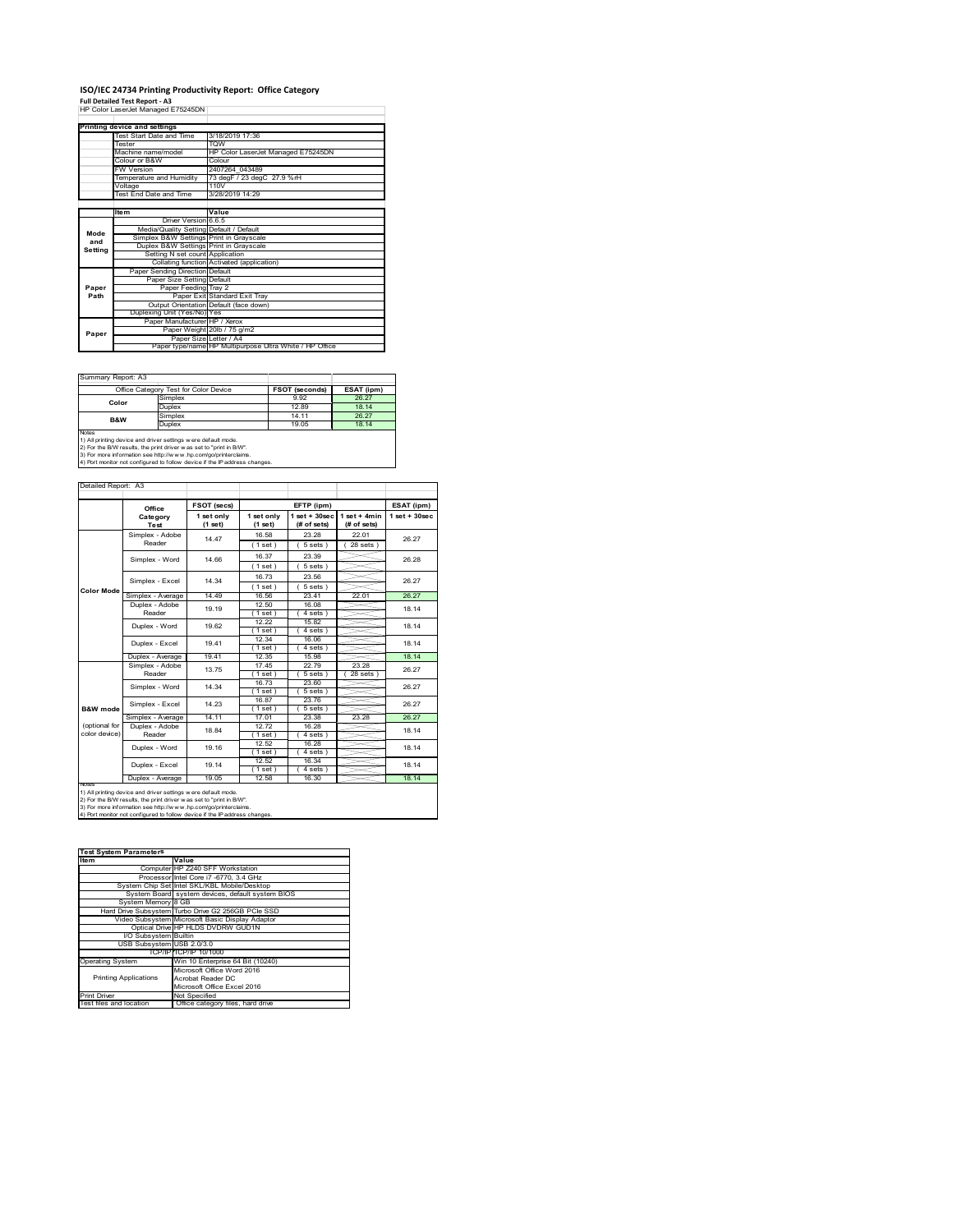# **ISO/IEC 24734 Printing Productivity Report: Office Category<br>Full Detailed Test Report - A3<br>HP Color LaserJet Managed E75245DN |**

|         | Printing device and settings            |                                                         |  |  |  |
|---------|-----------------------------------------|---------------------------------------------------------|--|--|--|
|         | Test Start Date and Time                | 3/18/2019 17:36                                         |  |  |  |
|         | <b>Tester</b>                           | <b>TOW</b>                                              |  |  |  |
|         | Machine name/model                      | HP Color LaserJet Managed E75245DN                      |  |  |  |
|         | Colour or B&W                           | Colour                                                  |  |  |  |
|         | <b>FW Version</b>                       | 2407264 043489                                          |  |  |  |
|         | Temperature and Humidity                | 73 degF / 23 degC 27.9 %rH                              |  |  |  |
|         | Voltage                                 | 110V                                                    |  |  |  |
|         | Test End Date and Time                  | 3/28/2019 14:29                                         |  |  |  |
|         |                                         |                                                         |  |  |  |
|         | <b>Item</b>                             | Value                                                   |  |  |  |
|         | Driver Version 6.6.5                    |                                                         |  |  |  |
| Mode    | Media/Quality Setting Default / Default |                                                         |  |  |  |
| and     | Simplex B&W Settings Print in Grayscale |                                                         |  |  |  |
| Setting | Duplex B&W Settings Print in Grayscale  |                                                         |  |  |  |
|         | Setting N set count Application         |                                                         |  |  |  |
|         |                                         | Collating function Activated (application)              |  |  |  |
|         | Paper Sending Direction Default         |                                                         |  |  |  |
|         | Paper Size Setting Default              |                                                         |  |  |  |
| Paper   | Paper Feeding Tray 2                    |                                                         |  |  |  |
| Path    |                                         | Paper Exit Standard Exit Tray                           |  |  |  |
|         |                                         | Output Orientation Default (face down)                  |  |  |  |
|         | Duplexing Unit (Yes/No) Yes             |                                                         |  |  |  |
|         | Paper Manufacturer HP / Xerox           |                                                         |  |  |  |
| Paper   |                                         | Paper Weight 20lb / 75 g/m2                             |  |  |  |
|         | Paper Size Letter / A4                  |                                                         |  |  |  |
|         |                                         | Paper type/name HP Multipurpose Ultra White / HP Office |  |  |  |

Summary Report: A3

|                                                              | Office Category Test for Color Device | <b>FSOT (seconds)</b> | ESAT (ipm) |  |  |
|--------------------------------------------------------------|---------------------------------------|-----------------------|------------|--|--|
| Color                                                        | Simplex                               | 9.92                  | 26.27      |  |  |
|                                                              | Duplex                                | 1289                  | 18 14      |  |  |
| B&W                                                          | Simplex                               | 14 11                 | 26.27      |  |  |
|                                                              | Duplex                                | 19 05                 | 18 14      |  |  |
| <b>Notes</b>                                                 |                                       |                       |            |  |  |
| 1) All nrinting device and driver settings were default mode |                                       |                       |            |  |  |

1) All printing device and driver settings were default mode.<br>2) For the B/W results, the print driver was set to "print in B/W".<br>3) For more information see http://www.hp.com/go/printerclaims.<br>4) Port monitor not configur

### Detailed Report: A3

|                   | Office                    | FSOT (secs) |            | EFTP (ipm)         |                | ESAT (ipm)      |  |
|-------------------|---------------------------|-------------|------------|--------------------|----------------|-----------------|--|
|                   | Category                  | 1 set only  | 1 set only | $1$ set + $30$ sec | $1$ set + 4min | $1$ set + 30sec |  |
|                   | Test                      | (1 set)     | (1 set)    | (# of sets)        | (# of sets)    |                 |  |
|                   | Simplex - Adobe           | 14.47       | 16.58      | 23.28              | 22.01          | 26.27           |  |
|                   | Reader                    |             | (1 set)    | 5 sets)            | $28$ sets)     |                 |  |
|                   | Simplex - Word            | 14 66       | 16.37      | 23.39              |                | 26.28           |  |
|                   |                           |             | (1 set)    | $5 sets$ )         |                |                 |  |
|                   | Simplex - Excel           | 14 34       | 1673       | 23.56              |                | 26.27           |  |
| <b>Color Mode</b> |                           |             | (1 set )   | 5 sets)            |                |                 |  |
|                   | Simplex - Average         | 14 49       | 16.56      | 2341               | 22.01          | 26.27           |  |
|                   | Duplex - Adobe            | 19.19       | 12.50      | 16.08              |                | 18 14           |  |
|                   | Reader                    |             | $1$ set)   | 4 sets)            |                |                 |  |
|                   | Duplex - Word             | 19.62       | 12.22      | 15.82              |                | 18 14           |  |
|                   |                           |             | (1 set)    | 4 sets)            |                |                 |  |
|                   | Duplex - Excel            | 1941        | 12.34      | 16.06              |                | 18 14           |  |
|                   |                           |             | $1$ set)   | $4 sets$ )         |                |                 |  |
|                   | Duplex - Average          | 19.41       | 12.35      | 15.98              |                | 18.14           |  |
|                   | Simplex - Adobe<br>Reader | 13.75       | 17.45      | 22.79              | 23.28          | 26.27           |  |
|                   |                           |             | (1 set)    | 5 sets )           | $28$ sets $)$  |                 |  |
|                   | Simplex - Word            | 14.34       | 16.73      | 23.60              |                | 26.27           |  |
|                   |                           |             | (1 set)    | 5 sets)            |                |                 |  |
|                   | Simplex - Excel           | 14 23       | 16.87      | 23.76              |                | 26.27           |  |
| B&W mode          |                           |             | (1 set)    | $5 sets$ )         |                |                 |  |
|                   | Simplex - Average         | 14.11       | 17.01      | 23.38              | 23.28          | 26.27           |  |
| (optional for     | Duplex - Adobe            | 18.84       | 12.72      | 16.28              |                | 18.14           |  |
| color device)     | Reader                    |             | (1 set )   | 4 sets)            |                |                 |  |
|                   | Duplex - Word             | 19.16       | 12.52      | 16.28              |                | 18 14           |  |
|                   |                           |             | (1 set)    | 4 sets)            |                |                 |  |
|                   |                           | 19 14       | 12.52      | 16.34              |                | 18 14           |  |
|                   | Duplex - Excel            |             | (1 set)    | 4 sets)            |                |                 |  |
|                   | Duplex - Average          | 19.05       | 12.58      | 16.30              |                | 18.14           |  |

 $\overline{\phantom{a}}$ 

2) For the B/W results, the print driver w as set to "print in B/W".<br>3) For more information see http://w w v.hp.com/go/printerclaims.<br>4) Port monitor not configured to follow device if the IP address changes.

#### **Item Value** Computer HP Z240 SFF Workstation Processor Intel Core i7 -6770, 3.4 GHz System Chip Set Intel SKL/KBL Mobile/Desktop System Board system devices, default system BIOS nier<br>syst<br>3 GB G2 256GB PCIe SSI Video Subsystem Microsoft Basic Display Adaptor Optical Drive HP HLDS DVDRW GUD1N I/O Subsystem Builtin USB Subsystem USB 2.0/3.0 TCP/IP TCP/IP 10/1000 operation with the Cone<br>in 10 Enterprise 64 Bit (102 Printing Applications Microsoft Office Word 2016 Acrobat Reader DC Microsoft Office Excel 2016 Print Driver Not Specified<br>Test files and location Office catego tot opeemed<br>Office category files, hard driv **Test System Parameters**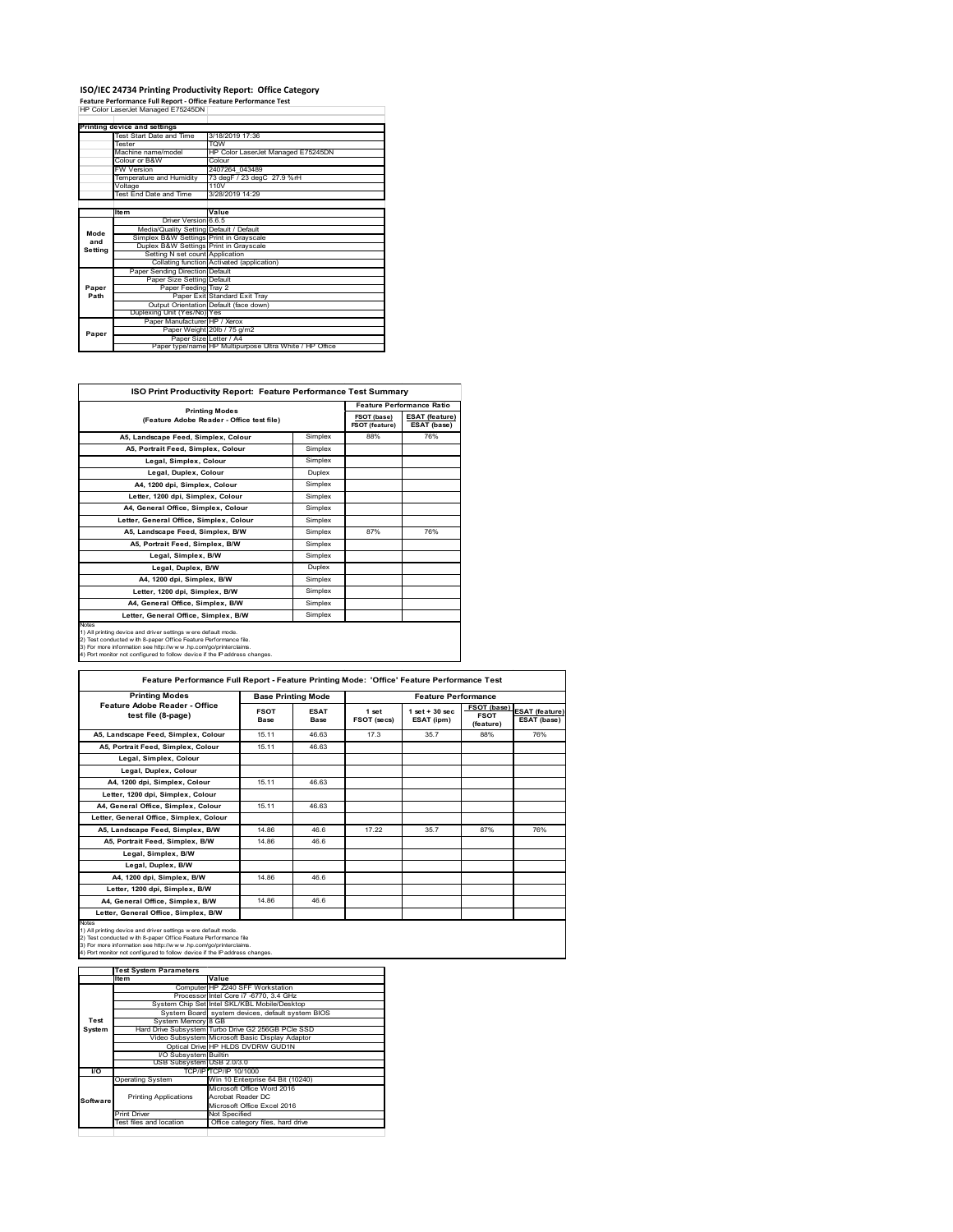### **ISO/IEC 24734 Printing Productivity Report: Office Category<br>Feature Performance Full Report - Office Feature Performance Test<br>HP Color LaserJet Managed E75245DN |**

|         | Printing device and settings            |                                                         |
|---------|-----------------------------------------|---------------------------------------------------------|
|         | Test Start Date and Time                | 3/18/2019 17:36                                         |
|         | <b>Tester</b>                           | TOW                                                     |
|         | Machine name/model                      | HP Color LaserJet Managed E75245DN                      |
|         | Colour or B&W                           | Colour                                                  |
|         | <b>FW Version</b>                       | 2407264 043489                                          |
|         | Temperature and Humidity                | 73 degF / 23 degC 27.9 %rH                              |
|         | Voltage                                 | 110V                                                    |
|         | Test End Date and Time                  | 3/28/2019 14:29                                         |
|         |                                         |                                                         |
|         | <b>Item</b>                             | Value                                                   |
|         | Driver Version 6.6.5                    |                                                         |
| Mode    | Media/Quality Setting Default / Default |                                                         |
| and     | Simplex B&W Settings Print in Grayscale |                                                         |
| Setting | Duplex B&W Settings Print in Grayscale  |                                                         |
|         | Setting N set count Application         |                                                         |
|         |                                         | Collating function Activated (application)              |
|         | Paper Sending Direction Default         |                                                         |
|         | Paper Size Setting Default              |                                                         |
| Paper   | Paper Feeding Tray 2                    |                                                         |
| Path    |                                         | Paper Exit Standard Exit Tray                           |
|         |                                         | Output Orientation Default (face down)                  |
|         | Duplexing Unit (Yes/No) Yes             |                                                         |
|         | Paper Manufacturer HP / Xerox           |                                                         |
| Paper   |                                         | Paper Weight 20lb / 75 g/m2                             |
|         | Paper Size Letter / A4                  |                                                         |
|         |                                         | Paper type/name HP Multipurpose Ultra White / HP Office |

| <b>ISO Print Productivity Report: Feature Performance Test Summary</b>                                                                                                                                                                                                                            |         |                               |                                      |  |  |
|---------------------------------------------------------------------------------------------------------------------------------------------------------------------------------------------------------------------------------------------------------------------------------------------------|---------|-------------------------------|--------------------------------------|--|--|
|                                                                                                                                                                                                                                                                                                   |         |                               | <b>Feature Performance Ratio</b>     |  |  |
| <b>Printing Modes</b><br>(Feature Adobe Reader - Office test file)                                                                                                                                                                                                                                |         | FSOT (base)<br>FSOT (feature) | <b>ESAT (feature)</b><br>ESAT (base) |  |  |
| A5. Landscape Feed. Simplex. Colour                                                                                                                                                                                                                                                               | Simplex | 88%                           | 76%                                  |  |  |
| A5. Portrait Feed. Simplex. Colour                                                                                                                                                                                                                                                                | Simplex |                               |                                      |  |  |
| Legal, Simplex, Colour                                                                                                                                                                                                                                                                            | Simplex |                               |                                      |  |  |
| Legal, Duplex, Colour                                                                                                                                                                                                                                                                             | Duplex  |                               |                                      |  |  |
| A4, 1200 dpi, Simplex, Colour                                                                                                                                                                                                                                                                     | Simplex |                               |                                      |  |  |
| Letter, 1200 dpi, Simplex, Colour                                                                                                                                                                                                                                                                 | Simplex |                               |                                      |  |  |
| A4, General Office, Simplex, Colour                                                                                                                                                                                                                                                               | Simplex |                               |                                      |  |  |
| Letter, General Office, Simplex, Colour                                                                                                                                                                                                                                                           | Simplex |                               |                                      |  |  |
| A5, Landscape Feed, Simplex, B/W                                                                                                                                                                                                                                                                  | Simplex | 87%                           | 76%                                  |  |  |
| A5. Portrait Feed. Simplex. B/W                                                                                                                                                                                                                                                                   | Simplex |                               |                                      |  |  |
| Legal, Simplex, B/W                                                                                                                                                                                                                                                                               | Simplex |                               |                                      |  |  |
| Legal, Duplex, B/W                                                                                                                                                                                                                                                                                | Duplex  |                               |                                      |  |  |
| A4, 1200 dpi, Simplex, B/W                                                                                                                                                                                                                                                                        | Simplex |                               |                                      |  |  |
| Letter, 1200 dpi, Simplex, B/W                                                                                                                                                                                                                                                                    | Simplex |                               |                                      |  |  |
| A4, General Office, Simplex, B/W                                                                                                                                                                                                                                                                  | Simplex |                               |                                      |  |  |
| Letter, General Office, Simplex, B/W                                                                                                                                                                                                                                                              | Simplex |                               |                                      |  |  |
| <b>Notes</b><br>1) All printing device and driver settings were default mode.<br>2) Test conducted with 8-paper Office Feature Performance file.<br>3) For more information see http://www.hp.com/go/printerclaims.<br>4) Port monitor not configured to follow device if the IP address changes. |         |                               |                                      |  |  |

| <b>Printing Modes</b>                               | <b>Base Printing Mode</b>  |                     |                      | <b>Feature Performance</b>      |                                                |                                      |  |
|-----------------------------------------------------|----------------------------|---------------------|----------------------|---------------------------------|------------------------------------------------|--------------------------------------|--|
| Feature Adobe Reader - Office<br>test file (8-page) | <b>FSOT</b><br><b>Base</b> | <b>ESAT</b><br>Base | 1 set<br>FSOT (secs) | $1$ set $+30$ sec<br>ESAT (ipm) | <b>FSOT (base)</b><br><b>FSOT</b><br>(feature) | <b>ESAT</b> (feature)<br>ESAT (base) |  |
| A5, Landscape Feed, Simplex, Colour                 | 15.11                      | 46.63               | 17.3                 | 35.7                            | 88%                                            | 76%                                  |  |
| A5. Portrait Feed. Simplex. Colour                  | 15.11                      | 46.63               |                      |                                 |                                                |                                      |  |
| Legal, Simplex, Colour                              |                            |                     |                      |                                 |                                                |                                      |  |
| Legal, Duplex, Colour                               |                            |                     |                      |                                 |                                                |                                      |  |
| A4. 1200 dpi. Simplex. Colour                       | 15.11                      | 46.63               |                      |                                 |                                                |                                      |  |
| Letter, 1200 dpi, Simplex, Colour                   |                            |                     |                      |                                 |                                                |                                      |  |
| A4, General Office, Simplex, Colour                 | 15.11                      | 46.63               |                      |                                 |                                                |                                      |  |
| Letter, General Office, Simplex, Colour             |                            |                     |                      |                                 |                                                |                                      |  |
| A5, Landscape Feed, Simplex, B/W                    | 14.86                      | 46.6                | 17.22                | 35.7                            | 87%                                            | 76%                                  |  |
| A5, Portrait Feed, Simplex, B/W                     | 14.86                      | 46.6                |                      |                                 |                                                |                                      |  |
| Legal, Simplex, B/W                                 |                            |                     |                      |                                 |                                                |                                      |  |
| Legal, Duplex, B/W                                  |                            |                     |                      |                                 |                                                |                                      |  |
| A4. 1200 dpi. Simplex. B/W                          | 14.86                      | 46.6                |                      |                                 |                                                |                                      |  |
| Letter, 1200 dpi, Simplex, B/W                      |                            |                     |                      |                                 |                                                |                                      |  |
| A4, General Office, Simplex, B/W                    | 14.86                      | 46.6                |                      |                                 |                                                |                                      |  |
| Letter, General Office, Simplex, B/W                |                            |                     |                      |                                 |                                                |                                      |  |

1) All printing device and driver settings were default mode.<br>2) Test conducted with 8-paper Office Feature Performance file<br>3) For more information see http://www.hp.com/go/printerclaims.<br>4) Port monitor not configured to

|           | <b>Test System Parameters</b> |                                                    |  |  |
|-----------|-------------------------------|----------------------------------------------------|--|--|
|           | ltem                          | Value                                              |  |  |
|           |                               | Computer HP Z240 SFF Workstation                   |  |  |
|           |                               | Processor Intel Core i7 -6770, 3.4 GHz             |  |  |
|           |                               | System Chip Set Intel SKL/KBL Mobile/Desktop       |  |  |
|           |                               | System Board system devices, default system BIOS   |  |  |
| Test      | System Memory 8 GB            |                                                    |  |  |
| System    |                               | Hard Drive Subsystem Turbo Drive G2 256GB PCle SSD |  |  |
|           |                               | Video Subsystem Microsoft Basic Display Adaptor    |  |  |
|           |                               | Optical Drive HP HLDS DVDRW GUD1N                  |  |  |
|           | <b>VO Subsystem Builtin</b>   |                                                    |  |  |
|           | USB Subsystem USB 2.0/3.0     |                                                    |  |  |
| <b>VO</b> |                               | TCP/IP/TCP/IP 10/1000                              |  |  |
|           | <b>Operating System</b>       | Win 10 Enterprise 64 Bit (10240)                   |  |  |
|           |                               | Microsoft Office Word 2016                         |  |  |
| Software  | <b>Printing Applications</b>  | Acrobat Reader DC                                  |  |  |
|           |                               | Microsoft Office Excel 2016                        |  |  |
|           | Print Driver                  | Not Specified                                      |  |  |
|           | Test files and location       | Office category files, hard drive                  |  |  |
|           |                               |                                                    |  |  |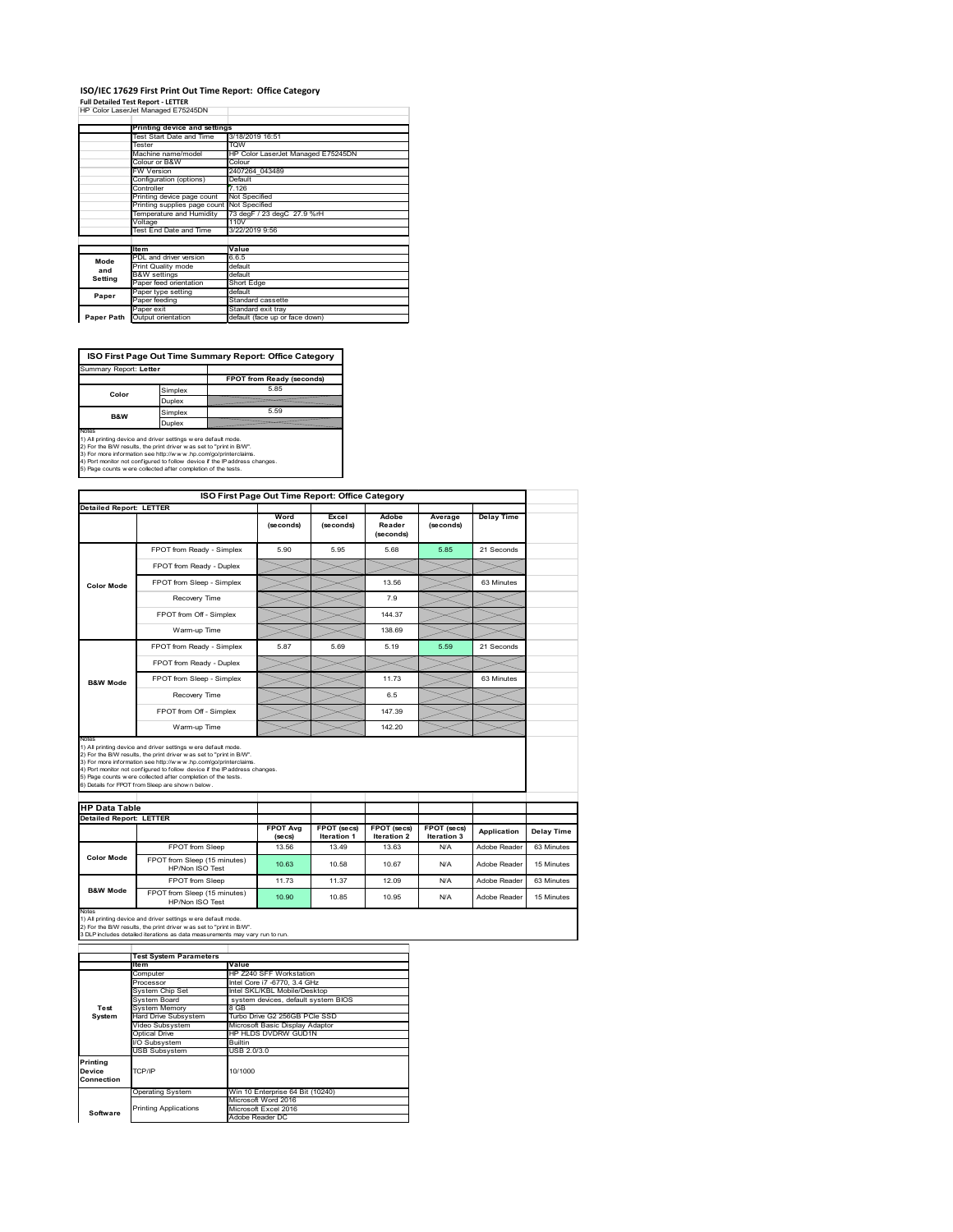### **ISO/IEC 17629 First Print Out Time Report: Office Category**

| <b>Full Detailed Test Report - LETTER</b> |  |
|-------------------------------------------|--|
| HP Color LaserJet Managed E75245DN        |  |

|            | Printing device and settings |                                    |  |  |  |
|------------|------------------------------|------------------------------------|--|--|--|
|            | Test Start Date and Time     | 3/18/2019 16:51                    |  |  |  |
|            | Tester                       | <b>TOW</b>                         |  |  |  |
|            | Machine name/model           | HP Color LaserJet Managed E75245DN |  |  |  |
|            | Colour or B&W                | Colour                             |  |  |  |
|            | FW Version                   | 2407264 043489                     |  |  |  |
|            | Configuration (options)      | Default                            |  |  |  |
|            | Controller                   | 7.126                              |  |  |  |
|            | Printing device page count   | Not Specified                      |  |  |  |
|            | Printing supplies page count | Not Specified                      |  |  |  |
|            | Temperature and Humidity     | 73 degF / 23 degC 27.9 %rH         |  |  |  |
|            | Voltage                      | 110V                               |  |  |  |
|            | Test End Date and Time       | 3/22/2019 9:56                     |  |  |  |
|            |                              |                                    |  |  |  |
|            | <b>Item</b>                  | Value                              |  |  |  |
| Mode       | PDL and driver version       | 6.6.5                              |  |  |  |
| and        | Print Quality mode           | default                            |  |  |  |
| Setting    | <b>B&amp;W</b> settings      | default                            |  |  |  |
|            | Paper feed orientation       | Short Edge                         |  |  |  |
| Paper      | Paper type setting           | default                            |  |  |  |
|            | Paper feeding                | Standard cassette                  |  |  |  |
|            | Paper exit                   | Standard exit tray                 |  |  |  |
| Paper Path | Output orientation           | default (face up or face down)     |  |  |  |

**ISO First Page Out Time Summary Report: Office Category**

| Summary Report: Letter |         |                           |
|------------------------|---------|---------------------------|
|                        |         | FPOT from Ready (seconds) |
| Color                  | Simplex | 5.85                      |
|                        | Duplex  |                           |
| <b>B&amp;W</b>         | Simplex | 5.59                      |
|                        | Duplex  |                           |
| Notes                  |         |                           |

Notes<br>1) All printing device and driver settings were default mode.<br>2) For the BW results, the print driver was set to "print in BW".<br>3) For more information see http://www.hp.com/golprinterclaims.<br>4) Rot monitor not confi

|                                                        |                                                                                                                                                                                                                                                                                                                                                                                                             | ISO First Page Out Time Report: Office Category |                                   |                                   |                            |                   |  |
|--------------------------------------------------------|-------------------------------------------------------------------------------------------------------------------------------------------------------------------------------------------------------------------------------------------------------------------------------------------------------------------------------------------------------------------------------------------------------------|-------------------------------------------------|-----------------------------------|-----------------------------------|----------------------------|-------------------|--|
| <b>Detailed Report: LETTER</b>                         |                                                                                                                                                                                                                                                                                                                                                                                                             | Word<br>(seconds)                               | Excel<br>(seconds)                | Adobe<br>Reader<br>(seconds)      | Average<br>(seconds)       | <b>Delay Time</b> |  |
|                                                        | FPOT from Ready - Simplex                                                                                                                                                                                                                                                                                                                                                                                   | 5.90                                            | 5.95                              | 5.68                              | 5.85                       | 21 Seconds        |  |
|                                                        | FPOT from Ready - Duplex                                                                                                                                                                                                                                                                                                                                                                                    |                                                 |                                   |                                   |                            |                   |  |
| <b>Color Mode</b>                                      | FPOT from Sleep - Simplex                                                                                                                                                                                                                                                                                                                                                                                   |                                                 |                                   | 13.56                             |                            | 63 Minutes        |  |
|                                                        | Recovery Time                                                                                                                                                                                                                                                                                                                                                                                               |                                                 |                                   | 7.9                               |                            |                   |  |
|                                                        | FPOT from Off - Simplex                                                                                                                                                                                                                                                                                                                                                                                     |                                                 |                                   | 144.37                            |                            |                   |  |
|                                                        | Warm-up Time                                                                                                                                                                                                                                                                                                                                                                                                |                                                 |                                   | 138.69                            |                            |                   |  |
|                                                        | FPOT from Ready - Simplex                                                                                                                                                                                                                                                                                                                                                                                   | 5.87                                            | 5.69                              | 5 1 9                             | 5.59                       | 21 Seconds        |  |
|                                                        | FPOT from Ready - Duplex                                                                                                                                                                                                                                                                                                                                                                                    |                                                 |                                   |                                   |                            |                   |  |
| <b>B&amp;W Mode</b>                                    | FPOT from Sleep - Simplex                                                                                                                                                                                                                                                                                                                                                                                   |                                                 |                                   | 11.73                             |                            | 63 Minutes        |  |
|                                                        | Recovery Time                                                                                                                                                                                                                                                                                                                                                                                               |                                                 |                                   | 6.5                               |                            |                   |  |
|                                                        | FPOT from Off - Simplex                                                                                                                                                                                                                                                                                                                                                                                     |                                                 |                                   | 147.39                            |                            |                   |  |
|                                                        | Warm-up Time                                                                                                                                                                                                                                                                                                                                                                                                |                                                 |                                   | 142.20                            |                            |                   |  |
| Notes                                                  |                                                                                                                                                                                                                                                                                                                                                                                                             |                                                 |                                   |                                   |                            |                   |  |
|                                                        | 1) All printing device and driver settings w ere default mode.<br>2) For the B/W results, the print driver was set to "print in B/W".<br>3) For more information see http://www.hp.com/go/printerclaims.<br>4) Port monitor not configured to follow device if the IP address changes.<br>5) Page counts w ere collected after completion of the tests.<br>6) Details for FPOT from Sleep are show n below. |                                                 |                                   |                                   |                            |                   |  |
| <b>HP Data Table</b><br><b>Detailed Report: LETTER</b> |                                                                                                                                                                                                                                                                                                                                                                                                             |                                                 |                                   |                                   |                            |                   |  |
|                                                        |                                                                                                                                                                                                                                                                                                                                                                                                             | <b>FPOT Avg</b><br>(se cs)                      | FPOT (secs)<br><b>Iteration 1</b> | <b>FPOT (secs)</b><br>Iteration 2 | FPOT (secs)<br>Iteration 3 | Application       |  |
|                                                        | FPOT from Sleep                                                                                                                                                                                                                                                                                                                                                                                             | 13.56                                           | 13.49                             | 13.63                             | N/A                        | Adobe Reader      |  |
| Color Mode                                             | FPOT from Sleep (15 minutes)<br>HP/Non ISO Test                                                                                                                                                                                                                                                                                                                                                             | 10.63                                           | 10.58                             | 10.67                             | N/A                        | Adobe Reader      |  |
| <b>B&amp;W Mode</b>                                    | <b>FPOT</b> from Sleep                                                                                                                                                                                                                                                                                                                                                                                      | 1173                                            | 11.37                             | 12.09                             | N/A                        | Adobe Reader      |  |

Notes<br>1) All printing device and driver settings w ere default mode.<br>2) For the B/W results, the print driver w as set to "print in B/W".<br>3 DLP includes detailed iterations as data measurements may vary run to run.

|            | <b>Test System Parameters</b> |                                     |
|------------|-------------------------------|-------------------------------------|
|            | <b>Item</b>                   | Value                               |
|            | Computer                      | HP Z240 SFF Workstation             |
|            | Processor                     | Intel Core i7 -6770, 3.4 GHz        |
|            | System Chip Set               | Intel SKL/KBL Mobile/Desktop        |
|            | System Board                  | system devices, default system BIOS |
| Test       | <b>System Memory</b>          | 8 GB                                |
| System     | Hard Drive Subsystem          | Turbo Drive G2 256GB PCIe SSD       |
|            | Video Subsystem               | Microsoft Basic Display Adaptor     |
|            | Optical Drive                 | HP HLDS DVDRW GUD1N                 |
|            | I/O Subsystem                 | <b>Builtin</b>                      |
|            | <b>USB Subsystem</b>          | USB 2.0/3.0                         |
| Printing   |                               |                                     |
| Device     | TCP/IP                        | 10/1000                             |
| Connection |                               |                                     |
|            | <b>Operating System</b>       | Win 10 Enterprise 64 Bit (10240)    |
|            |                               | Microsoft Word 2016                 |
|            | <b>Printing Applications</b>  | Microsoft Excel 2016                |
| Software   |                               | Adobe Reader DC                     |